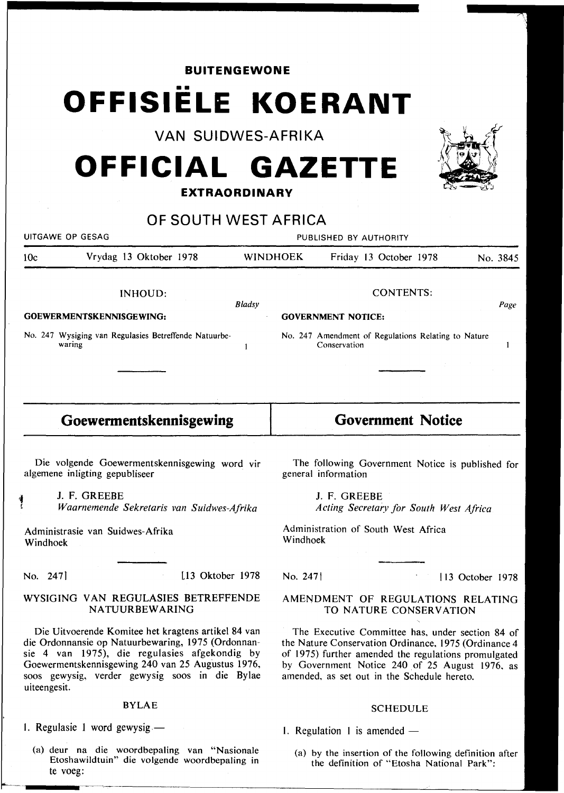**BUITENGEWONE** 

# •• **OFFISIELE KOERANT**

**VAN SUIDWES-AFRIKA** 

## **OFFICIAL GAZETTE**

### **EXTRAORDINARY**

|                                                                                                                                                                                                                                                                                   | OF SOUTH WEST AFRICA                                            |               |                                                                                                                                                                                                                                                                   |              |                                                     |  |                 |          |
|-----------------------------------------------------------------------------------------------------------------------------------------------------------------------------------------------------------------------------------------------------------------------------------|-----------------------------------------------------------------|---------------|-------------------------------------------------------------------------------------------------------------------------------------------------------------------------------------------------------------------------------------------------------------------|--------------|-----------------------------------------------------|--|-----------------|----------|
| UITGAWE OP GESAG                                                                                                                                                                                                                                                                  |                                                                 |               | PUBLISHED BY AUTHORITY                                                                                                                                                                                                                                            |              |                                                     |  |                 |          |
| 10c                                                                                                                                                                                                                                                                               | Vrydag 13 Oktober 1978                                          |               | <b>WINDHOEK</b>                                                                                                                                                                                                                                                   |              | Friday 13 October 1978                              |  |                 | No. 3845 |
| INHOUD:<br>GOEWERMENTSKENNISGEWING:                                                                                                                                                                                                                                               |                                                                 | <b>Bladsy</b> | <b>CONTENTS:</b><br>Page<br><b>GOVERNMENT NOTICE:</b>                                                                                                                                                                                                             |              |                                                     |  |                 |          |
|                                                                                                                                                                                                                                                                                   | No. 247 Wysiging van Regulasies Betreffende Natuurbe-<br>waring | 1             |                                                                                                                                                                                                                                                                   | Conservation | No. 247 Amendment of Regulations Relating to Nature |  |                 | 1        |
|                                                                                                                                                                                                                                                                                   | Goewermentskennisgewing                                         |               |                                                                                                                                                                                                                                                                   |              | <b>Government Notice</b>                            |  |                 |          |
| Die volgende Goewermentskennisgewing word vir<br>algemene inligting gepubliseer                                                                                                                                                                                                   |                                                                 |               | The following Government Notice is published for<br>general information                                                                                                                                                                                           |              |                                                     |  |                 |          |
|                                                                                                                                                                                                                                                                                   | J. F. GREEBE<br>Waarnemende Sekretaris van Suidwes-Afrika       |               |                                                                                                                                                                                                                                                                   | J. F. GREEBE | Acting Secretary for South West Africa              |  |                 |          |
| Administrasie van Suidwes-Afrika<br>Windhoek                                                                                                                                                                                                                                      |                                                                 |               | Administration of South West Africa<br>Windhoek                                                                                                                                                                                                                   |              |                                                     |  |                 |          |
| No. 247                                                                                                                                                                                                                                                                           | [13 Oktober 1978]                                               |               | No. 247                                                                                                                                                                                                                                                           |              |                                                     |  | 13 October 1978 |          |
| WYSIGING VAN REGULASIES BETREFFENDE<br>NATUURBEWARING                                                                                                                                                                                                                             |                                                                 |               | AMENDMENT OF REGULATIONS RELATING<br>TO NATURE CONSERVATION                                                                                                                                                                                                       |              |                                                     |  |                 |          |
| Die Uitvoerende Komitee het kragtens artikel 84 van<br>die Ordonnansie op Natuurbewaring, 1975 (Ordonnan-<br>sie 4 van 1975), die regulasies afgekondig by<br>Goewermentskennisgewing 240 van 25 Augustus 1976,<br>soos gewysig, verder gewysig soos in die Bylae<br>uiteengesit. |                                                                 |               | The Executive Committee has, under section 84 of<br>the Nature Conservation Ordinance, 1975 (Ordinance 4<br>of 1975) further amended the regulations promulgated<br>by Government Notice 240 of 25 August 1976, as<br>amended, as set out in the Schedule hereto. |              |                                                     |  |                 |          |

### BYLAE

1. Regulasie 1 word gewysig.-

(a) deur na die woordbepaling van "Nasionale Etoshawildtuin" die volgende woordbepaling in te voeg:

1. Regulation 1 is amended  $-$ 

(a) by the insertion of the following definition after the definition of "Etosha National Park":

SCHEDULE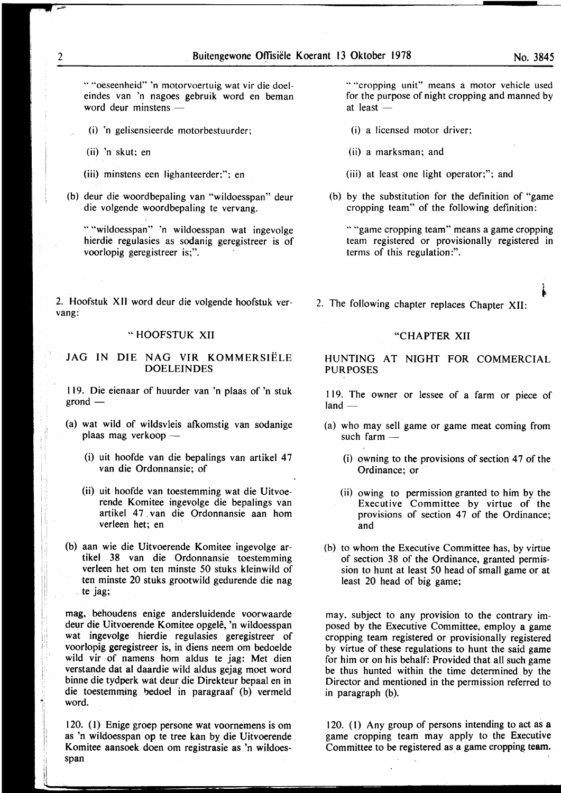" "oeseenheid" 'n motorvoertuig wat vir die doeleindes van 'n nagoes gebruik word en beman word deur minstens -

- (i) 'n gelisensieerde motorbestuurder;
- (ii) 'n skut; en
- (iii) minstens een lighanteerder;"; en
- (b) deur die woordbepaling van "wildoesspan" deur die volgende woordbepaling te vervang.

""wildoesspan" 'n wildoesspan wat ingevolge hierdie regulasies as sodanig geregistreer is of voorlopig geregistreer is;".

2. Hoofstuk XII word deur die volgende hoofstuk vervang:

#### " HOOFSTUK XII

#### JAG IN DIE NAG VIR KOMMERSIËLE DOELEINDES

119. Die eienaar of huurder van 'n plaas of 'n stuk  $grond$  —

- (a) wat wild of wildsvleis afkomstig van sodanige plaas mag verkoop -
	- (i) uit hoofde van die bepalings van artikel 47 van die Ordonnansie; of
	- (ii) uit hoofde van toestemming wat die Uitvoerende Komitee ingevolge die bepalings van artikel 47 van die Ordonnansie aan hom verleen het; en
- (b) aan wie die Uitvoerende Komitee ingevolge artikel 38 van die Ordonnansie toestemming verleen het om ten minste 50 stuks kleinwild of ten minste 20 stuks grootwild gedurende die nag te jag;

mag, behoudens enige andersluidende voorwaarde deur die Uityoerende Komitee opgelê, 'n wildoesspan wat ingevolge hierdie regulasies geregistreer of voorlopig geregistreer is, in diens neem om bedoelde wild vir of namens hom aldus te jag: Met dien verstande dat at daardie wild aldus gejag moet word binne die tydperk wat deur die Direkteur bepaal en in die toestemming bedoel in paragraaf (b) vermeld word.

120. (I) Enige groep persone wat voornemens is om as 'n wildoesspan op te tree kan by die Uitvoerende Komitee aansoek doen om registrasie as 'n wildoesspan

" "cropping unit" means a motor vehicle used for the purpose of night cropping and manned by at least  $-$ 

- (i) a licensed motor driver;
- (ii) a marksman; and
- (iii) at least one light operator;"; and
- (b) by the substitution for the definition of "game cropping team" of the following definition:

""game cropping team" means a game cropping team registered or provisionally registered in terms of this regulation:".

2. The following chapter replaces Chapter XII:

#### "CHAPTER XII

HUNTING AT NIGHT FOR COMMERCIAL **PURPOSES** 

119. The owner or lessee of a farm or piece of  $land$ 

- (a) who may sell game or game meat coming from such farm -
	- $(i)$  owning to the provisions of section 47 of the Ordinance; or
	- (ii) owing to permission granted to him by the Executive Committee by virtue of the provisions of section 47 of the Ordinance; and
- (b) to whom the Executive Committee has, by virtue of section 38 of the Ordinance, granted permission to hunt at least 50 head of small game or at least 20 head of big game;

may, subject to any provision to the contrary imposed by the Executive Committee, employ a game cropping team registered or provisionally registered by virtue of these regulations to hunt the said game for him or on his behalf: Provided that all such game be thus hunted within the time determined by the Director and mentioned in the permission referred to in paragraph (b).

120. (I) Any group of persons intending to act as a game cropping team may apply to the Executive Committee to be registered as a game cropping team.

j  $\mathbf{i}$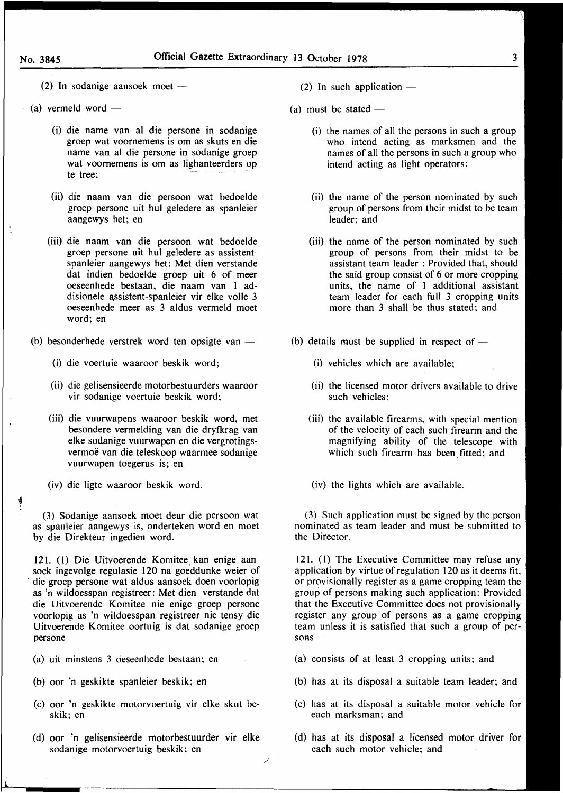3

 $(2)$  In sodanige aansoek moet —

- $(a)$  vermeld word  $-$ 
	- (i) die name van al die persone in sodanige groep wat voornemens is om as skuts en die name van at die persone· in sodanige groep wat voornemens is om as lighanteerders op te tree:
	- (ii) die naam van die persoon wat bedoelde groep persone uit hut geledere as spanleier aangewys het; en
	- (iii) die naam van die persoon wat bedoelde groep persone uit hut geledere as assistentspanleier aangewys het: Met dien verstande dat indien bedoelde groep uit 6 of meer oeseenhede bestaan, die naam van 1 addisionele assistent-spanleier vir elke volle 3 oeseenhede meer as 3 aldus vermeld moet word; en
- (b) besonderhede verstrek word ten opsigte van  $-$ 
	- (i) die voertuie waaroor beskik word;
	- (ii) die gelisensieerde motorbestuurders waaroor vir sodanige voertuie beskik word;
	- (iii) die vuurwapens waaroor beskik word, met besondere vermelding van die dryfkrag van elke sodanige vuurwapen en die vergrotingsvermoë van die teleskoop waarmee sodanige vuurwapen toegerus is; en
	- (iv) die ligte waaroor beskik word.

i '

(3) Sodanige aansoek moet deur die persoon wat as spanleier aangewys is, onderteken word en moet by die Direkteur ingedien word.

121. (1) Die Uitvoerende Komitee kan enige aansoek ingevolge regulasie 120 na goeddunke weier of die groep persone wat aldus aansoek doen voorlopig as 'n wildoesspan registreer: Met dien verstande dat die Uitvoerende Komitee nie enige groep persone voorlopig as 'n wildoesspan registreer nie tensy die Uitvoerende Komitee oortuig is dat sodanige groep persone-

- (a) uit minstens 3 oeseenhede bestaan; en
- (b) oor 'n geskikte spanleier beskik; en
- (c) oor 'n geskikte motorvoertuig vir elke skut beskik; en
- (d) oor 'n gelisensieerde motorbestuurder vir elke sodanige motorvoertuig beskik; en

/

- (2) In such application  $-$
- (a) must be stated  $-$ 
	- (i) the names of all the persons in such a group who intend acting as marksmen and the names of all the persons in such a group who intend acting as light operators;
	- (ii) the name of the person nominated by such group of persons from their midst to be team leader; and
	- (iii) the name of the person nominated by such group of persons from their midst to be assistant team leader : Provided that, should the said group consist of 6 or more cropping units, the name of I additional assistant team leader for each full 3 cropping units more than 3 shall be thus stated; and
- (b) details must be supplied in respect of  $-$ 
	- (i) vehicles which are available;
	- (ii) the licensed motor drivers available to drive such vehicles;
	- (iii) the available firearms, with special mention of the velocity of each such firearm and the magnifying ability of the telescope with which such firearm has been fitted; and

(iv) the lights which are available.

(3) Such application must be signed by the person nominated as team leader and must be submitted to the Director.

121. (1) The Executive Committee may refuse any application by virtue of regulation 120 as it deems fit, or provisionally register as a game cropping team the group of persons making such application: Provided that the Executive Committee does not provisionally register any group of persons as a game cropping team unless it is satisfied that such a group of per $sons$ -

- (a) consists of at least 3 cropping units; and
- (b) has at its disposal a suitable team leader; and
- (c) has at its disposal a suitable motor vehicle for each marksman; and
- (d) has at its disposal a licensed motor driver for each such motor vehicle; and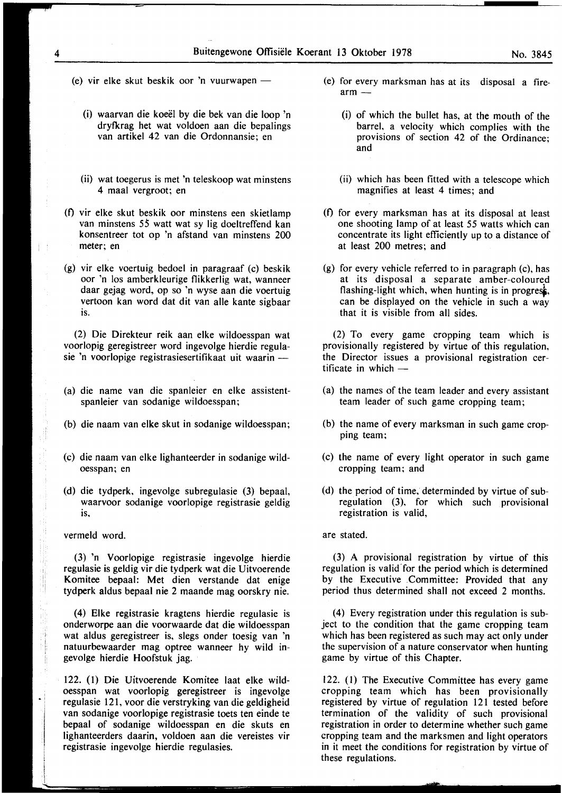- (e) vir elke skut beskik oor 'n vuurwapen  $-$ 
	- (i) waarvan die koeel by die bek van die loop 'n dryfkrag het wat voldoen aan die bepalings van artikel 42 van die Ordonnansie; en
	- (ii) wat toegerus is met 'n teleskoop wat minstens 4 maal vergroot; en
- (0 vir elke skut beskik oor minstens een skietlamp van minstens *55* watt wat sy lig doeltreffend kan konsentreer tot op 'n afstand van minstens 200 meter; en
- (g) vir elke voertuig bedoel in paragraaf (c) beskik oor 'n los amberkleurige flikkerlig wat, wanneer daar gejag word, op so 'n wyse aan die voertuig vertoon kan word dat dit van aile kante sigbaar is.

(2) Die Direkteur reik aan elke wildoesspan wat voorlopig geregistreer word ingevolge hierdie regulasie 'n voorlopige registrasiesertifikaat uit waarin -

- (a) die name van die spanleier en elke assistentspanleier van sodanige wildoesspan;
- (b) die naam van elke skut in sodanige wildoesspan;
- (c) die naam van elke lighanteerder in sodanige wildoesspan; en
- (d) die tydperk, ingevolge subregulasie (3) bepaal, waarvoor sodanige voorlopige registrasie geldig is,

vermeld word.

(3) 'n Voorlopige registrasie ingevolge hierdie regulasie is geldig vir die tydperk wat die Uitvoerende Komitee bepaal: Met dien verstande dat enige tydperk aldus bepaal nie 2 maande mag oorskry nie.

(4) Elke registrasie kragtens hierdie regulasie is onderworpe aan die voorwaarde dat die wildoesspan wat aldus geregistreer is, slegs onder toesig van 'n natuurbewaarder mag optree wanneer hy wild ingevolge hierdie Hoofstuk jag.

122. (1) Die Uitvoerende Komitee laat elke wildoesspan wat voorlopig geregistreer is ingevolge regulasie 121, voor die verstryking van die geldigheid van sodanige voorlopige registrasie toets ten einde te bepaal of sodanige wildoesspan en die skuts en lighanteerders daarin, voldoen aan die vereistes vir registrasie ingevolge hierdie regulasies.

- (e) for every marksman has at its disposal a fire $arm =$ 
	- (i) of which the bullet has, at the mouth of the barrel, a velocity which complies with the provisions of section 42 of the Ordinance; and
	- (ii) which has been fitted with a telescope which magnifies at least 4 times; and
- (f) for every marksman has at its disposal at least one shooting lamp of at least 55 watts which can concentrate its light efficiently up to a distance of at least 200 metres; and
- (g) for every vehicle referred to in paragraph (c), has at its disposal a separate amber-coloured flashing-light which, when hunting is in progress, can be displayed on the vehicle in such a way that it is visible from all sides.

(2) To every game cropping team which is provisionally registered by virtue of this regulation, the Director issues a provisional registration certificate in which  $-$ 

- (a) the names of the team leader and every assistant team leader of such game cropping team;
- (b) the name of every marksman in such game cropping team;
- (c) the name of every light operator in such game cropping team; and
- (d) the period of time, determinded by virtue of subregulation (3), for which such provisional registration is valid,

are stated.

(3) A provisional registration by virtue of this regulation is valid for the period which is determined by the Executive .Committee: Provided that any period thus determined shall not exceed 2 months.

(4) Every registration under this regulation is subject to the condition that the game cropping team which has been registered as such may act only under the supervision of a nature conservator when hunting game by virtue of this Chapter.

122. (I) The Executive Committee has every game cropping team which has been provisionally registered by virtue of regulation 121 tested before termination of the validity of such provisional registration in order to determine whether such game cropping team and the marksmen and light operators in it meet the conditions for registration by virtue of these regulations.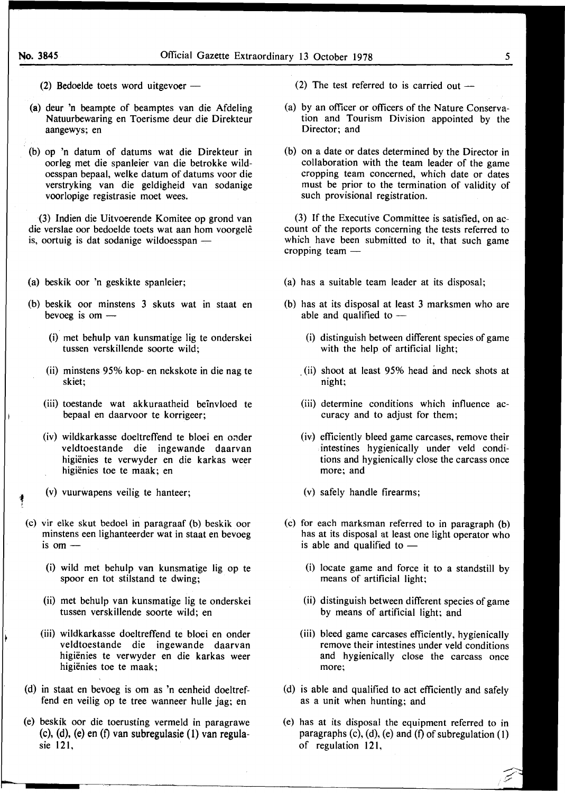- (2) Bedoelde toets word uitgevoer  $-$
- (a) deur 'n beampte of beamptes van die Afdeling Natuurbewaring en Toerisme deur die Direkteur aangewys; en
- . (b) op 'n datum of datums wat die Direkteur in oorleg met die spanleier van die betrokke wildoesspan bepaal, welke datum of datums voor die verstryking van die geldigheid van sodanige voorlopige registrasie moet wees.

(3) Indien die Uitvoerende Komitee op grond van die verslae oor bedoelde toets wat aan hom voorgele is, oortuig is dat sodanige wildoesspan  $-$ 

- (a) beskik oor 'n geskikte spanleier;
- (b) beskik oor minstens 3 skuts wat in staat en bevoeg is om  $-$ 
	- (i) met behulp van kunsmatige lig te onderskei tussen verskillende soorte wild;
	- (ii) minstens 95% kop- en nekskote in die nag te skiet;
	- (iii) toestande wat akkuraatheid beinvloed te bepaal en daarvoor te korrigeer;
	- (iv) wildkarkasse doeltreffend te bloei en onder veldtoestande die ingewande daarvan higiënies te verwyder en die karkas weer higiënies toe te maak; en
	- (v) vuurwapens veilig te hanteer;

1 i

- (c) vir elke skut bedoel in paragraaf (b) beskik oor minstens een lighanteerder wat in staat en bevoeg is om  $-$ 
	- (i) wild met behulp van kunsmatige lig op te spoor en tot stilstand te dwing;
	- (ii) met behulp van kunsmatige Jig te onderskei tussen verskillende soorte wild; en
	- (iii) wildkarkasse doeltreffend te bloei en onder veldtoestande die ingewande daarvan higienies te verwyder en die karkas weer higiënies toe te maak;
- (d) in staat en bevoeg is om as 'n eenheid doeltreffend en veilig op te tree wanneer bulle jag; en
- (e) beskik oor die toerusting vermeld in paragrawe (c), (d), (e) en (f) van subregulasie (1) van regulasie 121,
- (2) The test referred to is carried out  $-$
- (a) by an officer or officers of the Nature Conservation and Tourism Division appointed by the Director; and
- (b) on a date or dates determined by the Director in collaboration with the team leader of the game cropping team concerned, which date or dates must be prior to the termination of validity of such provisional registration.

(3) If the Executive Committee is satisfied, on account of the reports concerning the tests referred to which have been submitted to it, that such game cropping team  $-$ 

- (a) has a suitable team leader at its disposal;
- (b) has at its disposal at least 3 marksmen who are able and qualified to  $-$ 
	- (i) distinguish between different species of game with the help of artificial light;
	- (ii) shoot at least 95% head and neck shots at night;
	- (iii) determine conditions which influence accuracy and to adjust for them;
	- (iv) efficiently bleed game carcases, remove their intestines hygienically under veld conditions and hygienically close the carcass once more; and
	- (v) safely handle firearms;
- (c) for each marksman referred to in paragraph (b) has at its disposal at least one light operator who is able and qualified to  $-$ 
	- (i) locate game and force it to a standstill by means of artificial light;
	- (ii) distinguish between different species of game by means of artificial light; and
	- (iii) bleed game carcases efficiently, hygienically remove their intestines under veld conditions and hygienically close the carcass once more;
- (d) is able and qualified to act efficiently and safely as a unit when hunting; and
- (e) has at its disposal the equipment referred to in paragraphs  $(c)$ ,  $(d)$ ,  $(e)$  and  $(f)$  of subregulation  $(1)$ of regulation 121,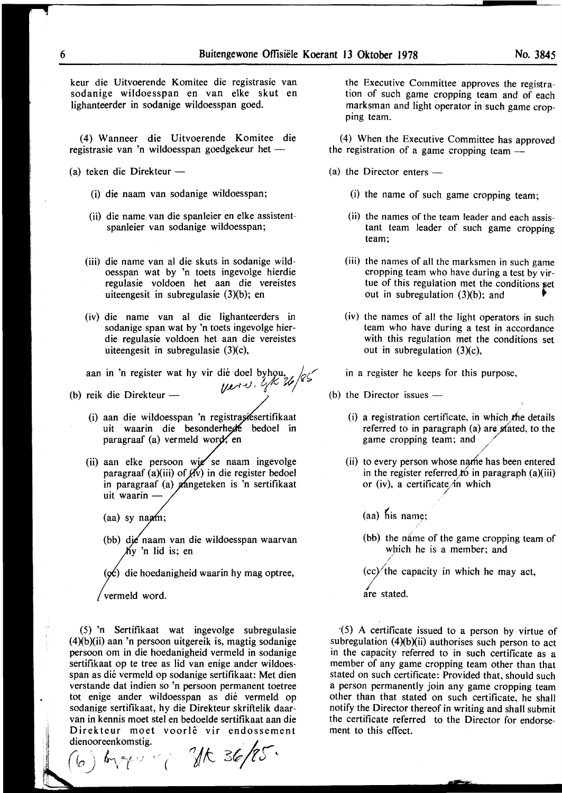keur die Uitvoerende Komitee die registrasie van sodanige wildoesspan en van elke skut en lighanteerder in sodanige wildoesspan goed.

(4) Wanneer die Uitvoerende Komitee die registrasie van 'n wildoesspan goedgekeur het  $-$ 

- (a) teken die Direkteur  $-$ 
	- (i) die naam van sodanige wildoesspan;
	- (ii) die name, van die spanleier en elke assistentspanleier van sodanige wildoesspan;
	- (iii) die name van al die skuts in sodanige wildoesspan wat by 'n toets ingevolge hierdie regulasie voldoen het aan die vereistes uiteengesit in subregulasie  $(3)(b)$ ; en
	- (iv) die name van al die lighanteerders in sodanige span wat by 'n toets ingevolge hierdie regulasie voldoen het aan die vereistes uiteengesit in subregulasie (3)(c),

aan in 'n register wat hy vir dié doel byhou,  $\sqrt{2}$ 

(b) reik die Direkteur -  $\left\langle \frac{\partial f}{\partial x^2}, \frac{\partial f}{\partial y^2}, \frac{\partial f}{\partial z^2} \right\rangle$ 

- (i) aan die wildoesspan 'n registrasiesertifikaat uit waarin die besonderhede bedoel in paragraaf (a) vermeld wor
- (ii) aan elke persoon wie se naam ingevolge paragraaf (a)(iii) of  $f(y)$  in die register bedoel in paragraaf (a) aangeteken is 'n sertifikaat uit waarin-

(aa) sy na $a$ m;

(bb) die naam van die wildoesspan waarvan  $My$  'n lid is; en

 $(\phi c)$  die hoedanigheid waarin hy mag optree,

vermeld word.

(5) 'n Sertifikaat wat ingevolge subregulasie  $(4)(b)(ii)$  aan 'n persoon uitgereik is, magtig sodanige persoon om in die hoedanigheid vermeld in sodanige sertifikaat op te tree as lid van enige ander wildoesspan as die vermeld op sodanige sertifikaat: Met dien verstande dat indien so 'n persoon permanent toetree tot enige ander wildoesspan as die vermeld op sodanige sertifikaat, hy die Direkteur skriftelik daarvan in kennis moet stel en bedoelde sertifikaat aan die Direkteur moet voorlê vir endossement<br>dienooreenkomstig. Direkteur moet voorlê vir endossem<br>dienooreenkomstig.<br>Com la socialiste and **36/8**5

\ *(o)* IMI *c.(* ' \_; ~ ( *'t/ {\...* C:::,(R *0 (.)* 

the Executive Committee approves the registration of such game cropping team and of each marksman and light operator in such game cropping team.

(4) When the Executive Committee has approved the registration of a game cropping team -

- $(a)$  the Director enters  $-$ 
	- (i) the name of such game cropping team;
	- (ii) the names of the team leader and each assistant team leader of such game cropping team;
	- (iii) the names of all the marksmen in such game cropping team who have during a test by virtue of this regulation met the conditions  $set$ out in subregulation  $(3)(b)$ ; and
	- (iv) the names of all the light operators in such team who have during a test in accordance with this regulation met the conditions set out in subregulation (3)(c),
	- in a register he keeps for this purpose,
- (b) the Director issues  $-$ 
	- (i) a registration certificate, in which the details referred to in paragraph  $(a)$  are stated, to the game cropping team; and */ /*
	- $(ii)$  to every person whose name has been entered in the register referred to in paragraph (a)(iii) or (iv), a certificate/in which

*)* 

- $(aa)$  his name;
- (bb) the name of the game cropping team of which he is a member; and

 $(cc)'$  the capacity in which he may act,

are stated.

I

·(5) A certificate issued to a person by virtue of subregulation  $(4)(b)(ii)$  authorises such person to act in the capacity referred to in such certificate as a member of any game cropping team other than that stated on such certificate: Provided that, should such a person permanently join any game cropping team other than that stated on such certificate, he shall notify the Director thereof in writing and shall submit the certificate referred to the Director for endorsement to this effect.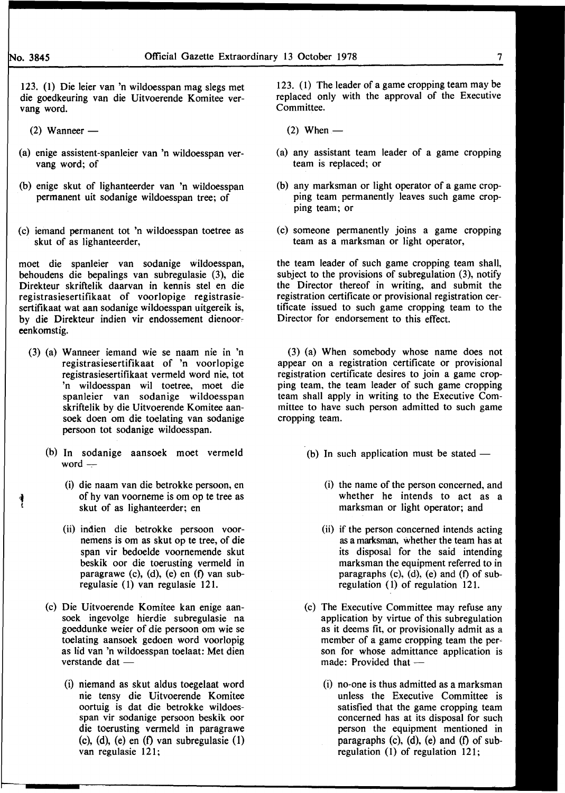$'$ 

123. (1) Die Ieier van 'n wildoesspan mag slegs met die goedkeuring van die Uitvoerende Komitee vervang word.

- $(2)$  Wanneer —
- (a) enige assistent-spanleier van 'n wildoesspan vervang word; of
- (b) enige skut of lighanteerder van 'n wildoesspan permanent uit sodanige wildoesspan tree; of
- (c) iemand permanent tot 'n wildoesspan toetree as skut of as lighanteerder,

moet die spanleier van sodanige wildoesspan, behoudens die bepalings van subregulasie (3), die Direkteur skriftelik daarvan in kennis stel en die registrasiesertifikaat of voorlopige registrasiesertifikaat wat aan sodanige wildoesspan uitgereik is, by die Direkteur indien vir endossement dienooreenkomstig.

- (3) (a) Wanneer iemand wie se naam nie in 'n registrasiesertifikaat of 'n voorlopige registrasiesertifikaat vermeld word nie, tot 'n wildoesspan wil toetree, moet die spanleier van sodanige wildoesspan skriftelik by die Uitvoerende Komitee aansoek doen om die toelating van sodanige persoon tot sodanige wildoesspan.
	- (b) In sodanige aansoek moet vermeld word  $-$ 
		- (i) die naam van die betrokke persoon, en of hy van voorneme is om op te tree as skut of as lighanteerder; en
		- (ii) indien die betrokke persoon voornemens is om as skut op te tree, of die span vir bedoelde voornemende skut beskik oor die toerusting vermeld in paragrawe (c), (d), (e) en (f) van subregulasie (1) van regulasie 121.
	- (c) Die Uitvoerende Komitee kan enige aansoek ingevolge hierdie subregulasie na goeddunke weier of die persoon om wie se toelating aansoek gedoen word voorlopig as lid van 'n wildoesspan toelaat: Met dien verstande dat  $-$ 
		- (i) niemand as skut aldus toegelaat word nie tensy die Uitvoerende Komitee oortuig is dat die betrokke wildoesspan vir sodanige persoon beskik oor die toerusting vermeld in paragrawe (c), (d), (e) en  $(f)$  van subregulasie  $(1)$ van regulasie 121;

123. (1) The leader of a game cropping team may be replaced only with the approval of the Executive Committee.

- $(2)$  When  $-$
- (a) any assistant team leader of a game cropping team is replaced; or
- (b) any marksman or light operator of a game cropping team permanently leaves such game cropping team; or
- (c) someone permanently joins a game cropping team as a marksman or light operator,

the team leader of such game cropping team shall, subject to the provisions of subregulation (3), notify the Director thereof in writing, and submit the registration certificate or provisional registration certificate issued to such game cropping team to the Director for endorsement to this effect.

(3) (a) When somebody whose name does not appear on a registration certificate or provisional registration certificate desires to join a game cropping team, the team leader of such game cropping team shall apply in writing to the Executive Committee to have such person admitted to such game cropping team.

- (b) In such application must be stated  $-$ 
	- (i) the name of the person concerned, and whether he intends to act as a marksman or light operator; and
	- (ii) if the person concerned intends acting as a marksman, whether the team has at its disposal for the said intending marksman the equipment referred to in paragraphs (c),  $(d)$ , (e) and (f) of subregulation (1) of regulation 121.
- (c) The Executive Committee may refuse any application by virtue of this subregulation as it deems fit, or provisionally admit as a member of a game cropping team the person for whose admittance application is made: Provided that -
	- (i) no-one is thus admitted as a marksman unless the Executive Committee is satisfied that the game cropping team concerned has at its disposal for such person the equipment mentioned in paragraphs (c), (d), (e) and (f) of subregulation  $(1)$  of regulation 121;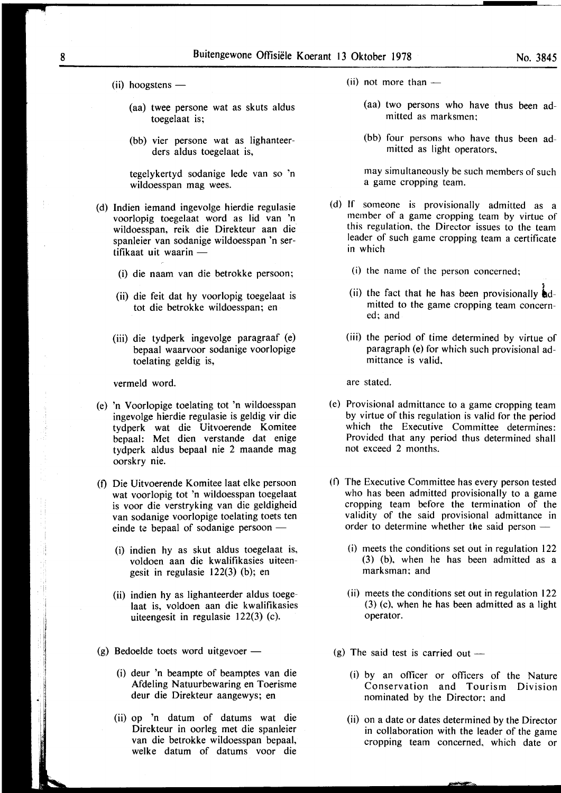- $(iii)$  hoogstens
	- (aa) twee persone wat as skuts aldus toegelaat is;
	- (bb) vier persone wat as lighanteerders aldus toegelaat is,

tegelykertyd sodanige lede van so 'n wildoesspan mag wees.

- (d) Indien iemand ingevolge hierdie regulasie voorlopig toegelaat word as lid van 'n wildoesspan, reik die Direkteur aan die spanleier van sodanige wildoesspan 'n sertifikaat uit waarin -
	- (i) die naam van die betrokke persoon;
	- (ii) die feit dat hy voorlopig toegelaat is tot die betrokke wildoesspan; en
	- (iii) die tydperk ingevolge paragraaf (e) bepaal waarvoor sodanige voorlopige toelating geldig is,

vermeld word.

- (e) 'n Voorlopige toelating tot 'n wildoesspan ingevolge hierdie regulasie is geldig vir die tydperk wat die Uitvoerende Komitee bepaal: Met dien verstande dat enige tydperk aldus bepaal nie 2 maande mag oorskry nie.
- (f) Die Uitvoerende Komitee laat elke persoon wat voorlopig tot 'n wildoesspan toegelaat is voor die verstryking van die geldigheid van sodanige voorlopige toelating toets ten einde te bepaal of sodanige persoon  $-$ 
	- (i) indien hy as skut aldus toegelaat is, voldoen aan die kwalifikasies uiteengesit in regulasie 122(3) (b); en
	- (ii) indien hy as lighanteerder aldus toegelaat is, voldoen aan die kwalifikasies uiteengesit in regulasie 122(3) (c).
- (g) Bedoelde toets word uitgevoer  $-$ 
	- (i) deur 'n beampte of beamptes van die Afdeling Natuurbewaring en Toerisme deur die Direkteur aangewys; en
	- (ii) op 'n datum of datums wat die Direkteur in oorleg met die spanleier van die betrokke wildoesspan bepaal, welke datum of datums voor die
- $(iii)$  not more than  $-$ 
	- (aa) two persons who have thus been admitted as marksmen;
	- (bb) four persons who have thus been admitted as light operators,

may simultaneously be such members of such a game cropping team.

- (d) If someone is provisionally admitted as a member of a game cropping team by virtue of this regulation, the Director issues to the team leader of such game cropping team a certificate in which
	- (i) the name of the person concerned;
	- (ii) the fact that he has been provisionally  $\mathbf{\hat{i}}$ dmitted to the game cropping team concerned; and
	- (iii) the period of time determined by virtue of paragraph (e) for which such provisional admittance is valid,

are stated.

- (e) Provisional admittance to a game cropping team by virtue of this regulation is valid for the period which the Executive Committee determines: Provided that any period thus determined shall not exceed 2 months.
- (0 The Executive Committee has every person tested who has been admitted provisionally to a game cropping team before the termination of the validity of the said provisional admittance in order to determine whether the said person  $-$ 
	- (i) meets the conditions set out in regulation 122 (3) (b), when he has been admitted as a marksman; and
	- (ii) meets the conditions set out in regulation 122 (3) (c), when he has been admitted as a light operator.
- (g) The said test is carried out  $-$ 
	- (i) by an officer or officers of the Nature Conservation and Tourism Division nominated by the Director; and
	- (ii) on a date or dates determined by the Director in collaboration with the leader of the game cropping team concerned, which date or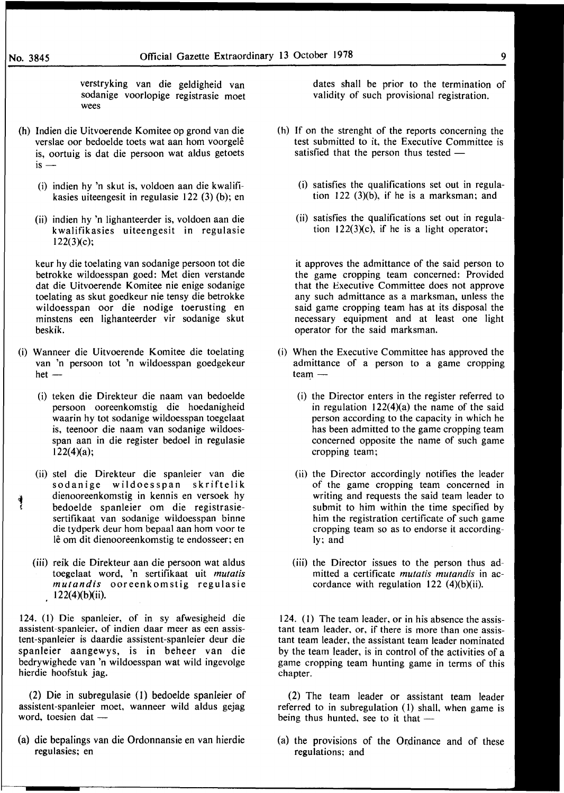verstryking van die geldigheid van sodanige voorlopige registrasie moet wees

- (h) Indien die Uitvoerende Komitee op grond van die verslae oor bedoelde toets wat aan hom voorgele is, oortuig is dat die persoon wat aldus getoets  $i$ s  $-$ 
	- (i) indien hy 'n skut is, voldoen aan die kwalifikasies uiteengesit in regulasie 122 (3) (b); en
	- (ii) indien hy 'n Iighanteerder is, voldoen aan die kwalifikasies uiteengesit in regulasie 122(3)(c);

keur hy die toelating van sodanige persoon tot die betrokke wildoesspan goed: Met dien verstande dat die Uitvoerende Komitee nie enige sodanige toelating as skut goedkeur nie tensy die betrokke wildoesspan oor die nodige toerusting en minstens een lighanteerder vir sodanige skut beskik.

- (i) Wanneer die Uitvoerende Komitee die toelating van 'n persoon tot 'n wildoesspan goedgekeur  $het-$ 
	- (i) teken die Direkteur die naam van bedoelde persoon ooreenkomstig die hoedanigheid waarin hy tot sodanige wildoesspan toegelaat is, teenoor die naam van sodanige wildoesspan aan in die register bedoel in regulasie  $122(4)(a)$ ;
	- (ii) stet die Direkteur die spanleier van die sodanige wildoesspan skriftelik dienooreenkomstig in kennis en versoek hy ! bedoelde spanleier om die registrasiesertifikaat van sodanige wildoesspan binne die tydperk deur hom bepaal aan hom voor te le om dit dienooreenkomstig te endosseer; en
	- (iii) reik die Direkteur aan die persoon wat aldus toegelaat word, 'n sertifikaat uit *mutatis mutandis* ooreenkomstig regulasie  $122(4)(b)(ii)$ .

124. (l) Die spanleier, of in sy afwesigheid die assistent-spanleier, of indien daar meer as een assistent-spanleier is daardie assistent-spanleier deur die spanleier aangewys, is in beheer van die bedrywighede van 'n wildoesspan wat wild ingevolge hierdie hoofstuk jag.

(2) Die in subregulasie (I) bedoelde spanleier of assistent-spanleier moet, wanneer wild aldus gejag word, toesien dat -

(a) die bepalings van die Ordonnansie en van hierdie regulasies; en

dates shall be prior to the termination of validity of such provisional registration.

- (h) If on the strenght of the reports concerning the test submitted to it, the Executive Committee is satisfied that the person thus tested -
	- (i) satisfies the qualifications set out in regulation  $122$  (3)(b), if he is a marksman; and
	- (ii) satisfies the qualifications set out in regulation  $122(3)(c)$ , if he is a light operator;

it approves the admittance of the said person to the game cropping team concerned: Provided that the Executive Committee does not approve any such admittance as a marksman, unless the said game cropping team has at its disposal the necessary equipment and at least one light operator for the said marksman.

- (i) When the Executive Committee has approved the admittance of a person to a game cropping team -
	- (i) the Director enters in the register referred to in regulation  $122(4)(a)$  the name of the said person according to the capacity in which he has been admitted to the game cropping team concerned opposite the name of such game cropping team;
	- (ii) the Director accordingly notifies the leader of the game cropping team concerned in writing and requests the said team leader to submit to him within the time specified by him the registration certificate of such game cropping team so as to endorse it accordingly; and
	- (iii) the Director issues to the person thus admitted a certificate *mutatis mutandis* in accordance with regulation  $122$  (4)(b)(ii).

124. (I) The team leader, or in his absence the assistant team leader, or, if there is more than one assistant team leader, the assistant team leader nominated by the team leader, is in control of the activities of a game cropping team hunting game in terms of this chapter.

(2) The team leader or assistant team leader referred to in subregulation (1) shall, when game is being thus hunted, see to it that  $-$ 

(a) the provisions of the Ordinance and of these regulations; and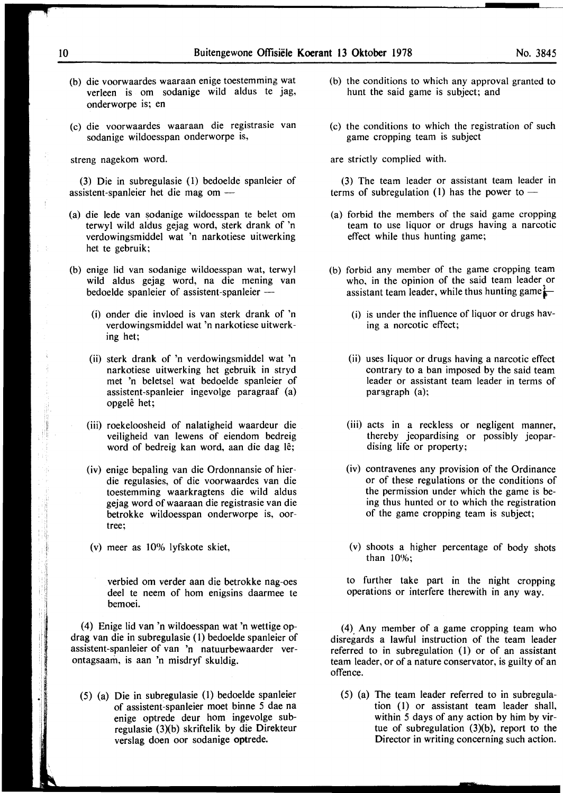- (b) die voorwaardes waaraan enige toestemming wat verleen is om sodanige wild aldus te jag, onderworpe is; en
- (c) die voorwaardes waaraan die registrasie van sodanige wildoesspan onderworpe is,

streng nagekom word.

(3) Die in subregulasie (1) bedoelde spanleier of assistent-spanleier het die mag om -

- (a) die lede van sodanige wildoesspan te belet om terwyl wild aldus gejag word, sterk drank of 'n verdowingsmiddel wat 'n narkotiese uitwerking het te gebruik;
- (b) enige lid van sodanige wildoesspan wat, terwyl wild aldus gejag word, na die mening van bedoelde spanleier of assistent-spanleier-
	- (i) onder die invloed is van sterk drank of 'n verdowingsmiddel wat 'n narkotiese uitwerking het;
	- (ii) sterk drank of 'n verdowingsmiddel wat 'n narkotiese uitwerking het gebruik in stryd met 'n beletsel wat bedoelde spanleier of assistent-spanleier ingevolge paragraaf (a) opgelê het:
	- (iii) roekeloosheid of nalatigheid waardeur die veiligheid van lewens of eiendom bedreig word of bedreig kan word, aan die dag lê;
	- (iv) enige bepaling van die Ordonnansie of hierdie regulasies, of die voorwaardes van die toestemming waarkragtens die wild aldus gejag word ofwaaraan die registrasie van die betrokke wildoesspan onderworpe is, oortree;
	- (v) meer as 10% lyfskote skiet,

verbied om verder aan die betrokke nag-oes deel te neem of hom enigsins daarmee te bemoei.

(4) Enige lid van 'n wildoesspan wat 'n wettige opdrag van die in subregulasie ( 1) bedoelde spanleier of assistent-spanleier of van 'n natuurbewaarder verontagsaam, is aan 'n misdryf skuldig.

(5) (a) Die in subregulasie (1) bedoelde spanleier of assistent~spanleier moet binne 5 dae na enige optrede deur hom ingevolge subregulasie (3)(b) skriftelik by die Direkteur verslag doen oor sodanige optrede.

- (b) the conditions to which any approval granted to hunt the said game is subject; and
- (c) the conditions to which the registration of such game cropping team is subject

are strictly complied with.

(3) The team leader or assistant team leader in terms of subregulation (1) has the power to  $-$ 

- (a) forbid the members of the said game cropping team to use liquor or drugs having a narcotic effect while thus hunting game;
- (b) forbid any member of the game cropping team who, in the opinion of the said team leader or assistant team leader, while thus hunting game $\frac{1}{n}$ 
	- (i) is under the influence of liquor or drugs having a norcotic effect;
	- (ii) uses liquor or drugs having a narcotic effect contrary to a ban imposed by the said team leader or assistant team leader in terms of paragraph  $(a)$ ;
	- (iii) acts in a reckless or negligent manner, thereby jeopardising or possibly jeopardising life or property;
	- (iv) contravenes any provision of the Ordinance or of these regulations or the conditions of the permission under which the game is being thus hunted or to which the registration of the game cropping team is subject;
	- (v) shoots a higher percentage of body shots than 10%;

to further take part in the night cropping operations or interfere therewith in any way.

(4) Any member of a game cropping team who disregards a lawful instruction of the team leader referred to in subregulation  $(1)$  or of an assistant team leader, or of a nature conservator, is guilty of an offence.

(5) (a) The team leader referred to in subregulation (1) or assistant team leader shall, within 5 days of any action by him by virtue of subregulation (3)(b), report to the Director in writing concerning such action.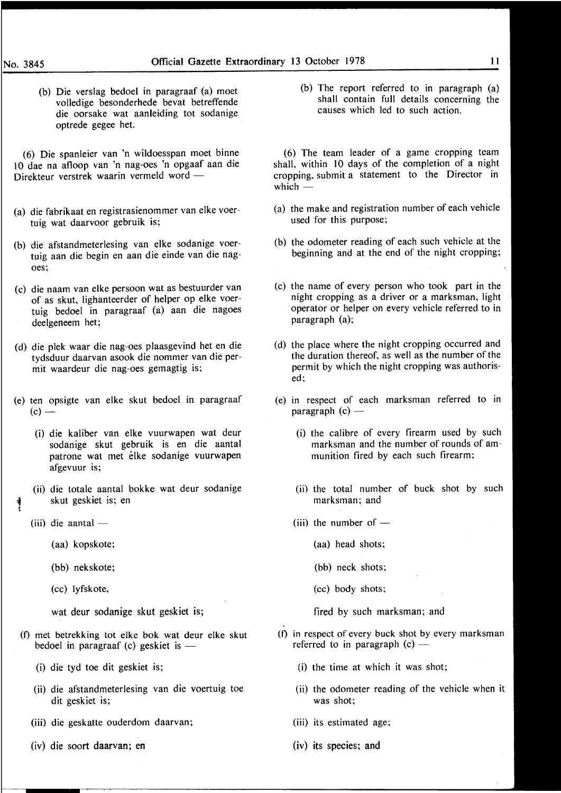(b) Die verslag bedoel in paragraaf (a) moet volledige besonderhede bevat betreffende die oorsake wat aanleiding tot sodanige optrede gegee het.

(6) Die spanleier van 'n wildoesspan moet binne l 0 dae na afloop van 'n nag-oes 'n opgaaf aan die Direkteur verstrek waarin vermeld word -

- (a) die fabrikaat en registrasienommer van elke voertuig wat daarvoor gebruik is;
- (b) die afstandmeterlesing van elke sodanige voertuig aan die begin en aan die einde van die nagoes;
- (c) die naam van elke persoon wat as bestuurder van of as skut, lighanteerder of helper op elke voertuig bedoel in paragraaf (a) aan die nagoes deelgeneem het;
- (d) die plek waar die nag-oes plaasgevind het en die tydsduur daarvan asook die nommer van die permit waardeur die nag-oes gemagtig is;
- (e) ten opsigte van elke skut bedoel in paragraaf  $(c)$  —
	- (i) die kaliber van elke vuurwapen wat deur sodanige skut gebruik is en die aantal patrone wat met elke sodanige vuurwapen afgevuur is;

(ii) die totale aantal bokke wat deur sodanige skut geskiet is; en

 $(iii)$  die aantal —

!

- (aa) kopskote;
- (bb) nekskote;
- (cc) lyfskote,

wat deur sodanige skut geskiet is;

- (f) met betrekking tot elke bok wat deur elke skut bedoel in paragraaf (c) geskiet is  $-$ 
	- (i) die tyd toe dit geskiet is;
	- (ii) die afstandmeterlesing van die voertuig toe dit geskiet is;
	- (iii) die geskatte ouderdom daarvan;
	- (iv) die soort daarvan; en

(b) The report referred to in paragraph (a) shall contain full details concerning the causes which led to such action.

( 6) The team leader of a game cropping team shall, within 10 days of the completion of a night cropping, submit a statement to the Director in which $-$ 

- (a) the make and registration number of each vehicle used for this purpose;
- (b) the odometer reading of each such vehicle at the beginning and at the end of the night cropping;
- (c) the name of every person who took part in the night cropping as a driver or a marksman, light operator or helper on every vehicle referred to in paragraph (a);
- (d) the place where the night cropping occurred and the duration thereof, as well as the number of the permit by which the night cropping was authorised;
- (e) in respect of each marksman referred to in paragraph  $(c)$  —
	- (i) the calibre of every firearm used by such marksman and the number of rounds of ammunition fired by each such firearm;
	- (ii) the total number of buck shot by such marksman; and
	- (iii) the number of  $-$ 
		- (aa) head shots;
		- (bb) neck shots:
		- (cc) body shots;

fired by such marksman; and

- (f) in respect of every buck shot by every marksman referred to in paragraph  $(c)$  —
	- (i) the time at which it was shot;
	- (ii) the odometer reading of the vehicle when it was shot;
	- (iii) its estimated age;
	- (iv) its species; and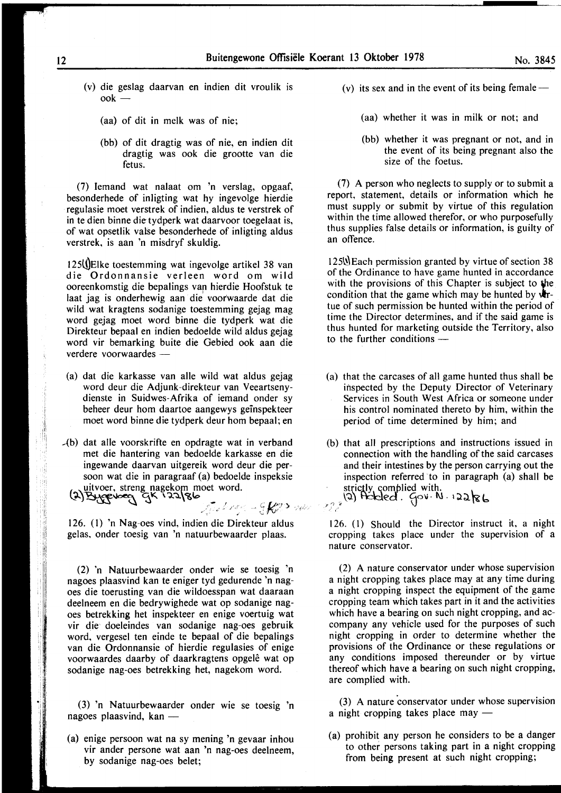- (v) die geslag daarvan en indien dit vroulik is ook-
	- (aa) of dit in melk was of nie;
	- (bb) of dit dragtig was of nie, en indien dit dragtig was ook die grootte van die fetus.

(7) Iemand wat nalaat om 'n verslag, opgaaf, besonderhede of inligting wat hy ingevolge hierdie regulasie moet verstrek of indien, aldus te verstrek of in te dien binne die tydperk wat daarvoor toegelaat is, of wat opsetlik valse besonderhede of inligting aldus verstrek, is aan 'n misdryf skuldig.

125 (Elke toestemming wat ingevolge artikel 38 van die Ordonnansie verleen word om wild ooreenkomstig die bepalings van hierdie Hoofstuk te laat jag is onderhewig aan die voorwaarde dat die wild wat kragtens sodanige toestemming gejag mag word gejag moet word binne die tydperk wat die Direkteur bepaal en indien bedoelde wild aldus gejag word vir bemarking buite die Gebied ook aan die verdere voorwaardes -

(a) dat die karkasse van aile wild wat aldus gejag word deur die Adjunk-direkteur van Veeartsenydienste in Suidwes-Afrika of iemand onder sy beheer deur hom daartoe aangewys geinspekteer moet word binne die tydperk deur hom bepaal; en

 $-(b)$  dat alle voorskrifte en opdragte wat in verband met die hantering van bedoelde karkasse en die ingewande daarvan uitgereik word deur die persoon wat die in paragraaf (a) bedoelde inspeksie  $\mu$ , uitvoer, streng nagekom moet word.

126. (I) 'n N ag-oes vind, indien die Direkteur aldus gelas, onder toesig van 'n natuurbewaarder plaas.

.. Lft&"' ,. ~ •,·/·"· 'L .• <sup>~</sup>.' *t* .. '

 $(3)$  Article need  $2k$ ,  $32/8$ p.

(2) 'n Natuurbewaarder onder wie se toesig 'n nagoes plaasvind kan te eniger tyd gedurende 'n nagoes die toerusting van die wildoesspan wat daaraan deelneem en die bedrywighede wat op sodanige nagoes betrekking het inspekteer en enige voertuig wat vir die doeleindes van sodanige nag-oes gebruik word, vergesel ten einde te bepaal of die bepalings van die Ordonnansie of hierdie regulasies of enige voorwaardes daarby of daarkragtens opgele wat op sodanige nag-oes betrekking het, nagekom word.

(3) 'n Natuurbewaarder onder wie se toesig 'n nagoes plaasvind, kan  $-$ 

(a) enige persoon wat na sy mening 'n gevaar inhou vir ander persone wat aan 'n nag-oes deelneem, by sodanige nag-oes belet;

- (v) its sex and in the event of its being female  $-$ 
	- (aa) whether it was in milk or not; and
	- (bb) whether it was pregnant or not, and in the event of its being pregnant also the size of the foetus.

(7) A person who neglects to supply or to submit a report, statement, details or information which he must supply or submit by virtue of this regulation within the time allowed therefor, or who purposefully thus supplies false details or information, is guilty of an offence.

 $125%$  Each permission granted by virtue of section 38 of the Ordinance to have game hunted in accordance with the provisions of this Chapter is subject to the condition that the game which may be hunted by  $\mathbf{dr}$ tue of such permission be hunted within the period of time the Director determines, and if the said game is thus hunted for marketing outside the Territory, also to the further conditions  $-$ 

- (a) that the carcases of all game hunted thus shall be inspected by the Deputy Director of Veterinary Services in South West Africa or someone under his control nominated thereto by him, within the period of time determined by him; and
- (b) that all prescriptions and instructions issued in connection with the handling of the said carcases and their intestines by the person carrying out the inspection referred to in paragraph (a) shall be strictly, complied with.  $^{(2)}$ <br>(2) Ackled.  $\left\{0\right\}$  is a paragram in the ral  $^{(3)}$ .  $^{(4)}$

126. (1) Should the Director instruct it, a night cropping takes place under the supervision of a nature conservator.

(2) A nature conservator under whose supervision a night cropping takes place may at any time during a night cropping inspect the equipment of the game cropping team which takes part in it and the activities which have a bearing on such night cropping, and accompany any vehicle used for the purposes of such night cropping in order to determine whether the provisions of the Ordinance or these regulations or any conditions imposed thereunder or by virtue thereof which have a bearing on such night cropping, are complied with.

 $(3)$  A nature conservator under whose supervision a night cropping takes place may  $-$ 

(a) prohibit any person he considers to be a danger to other persons taking part in a night cropping from being present at such night cropping;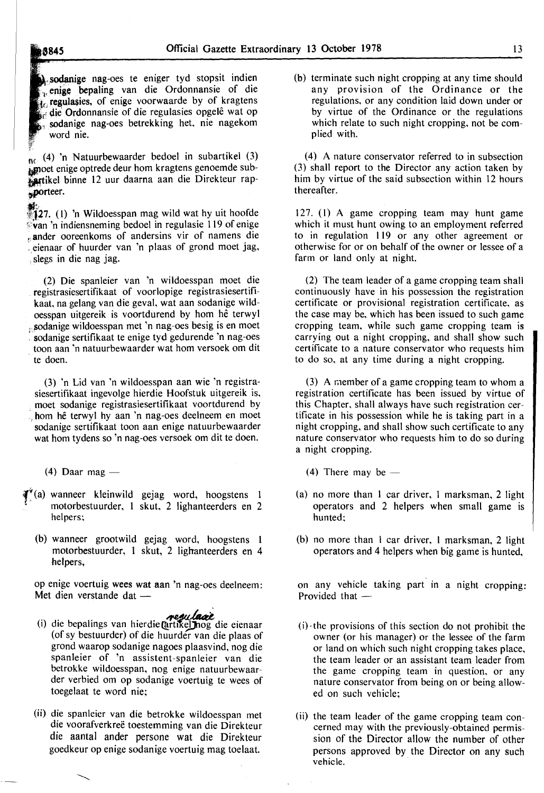8845

**A** sodanige nag-oes te eniger tyd stopsit indien  $\frac{1}{40}$  regulasies, of enige voorwaarde by of kragtens , enige bepaling van die Ordonnansie of die die Ordonnansie of die regulasies opgelê wat op ., sodanige nag-oes betrekking het, nie nagekom word nie.

 $\int_{\mathbb{R}}(4)$  'n Natuurbewaarder bedoel in subartikel (3) moet enige optrede deur hom kragtens genoemde subartikel binne 12 uur daarna aan die Direkteur rap**porteer.** 

 $\frac{1}{27}$ . (1) 'n Wildoesspan mag wild wat hy uit hoofde ~:van 'n indiensneming bedoel in regulasie 119 of enige ander ooreenkoms of andersins vir of namens die : eienaar of huurder van 'n plaas of grond moet jag, , slegs in die nag jag.

(2) Die spanleier van 'n wildoesspan moet die registrasiesertifikaat of voorlopige registrasiesertifikaat, na gelang van die geval, wat aan sodanige wildoesspan uitgereik is voortdurend by hom he terwyl ,.sodanige wildoesspan met 'n nag-oes besig is en moet sodanige sertifikaat te enige tyd gedurende 'n nag-oes toon aan 'n natuurbewaarder wat hom versoek om dit te doen.

(3) 'n Lid van 'n wildoesspan aan wie 'n registrasiesertifikaat ingevolge hierdie Hoofstuk uitgereik is, moet sodanige registrasiesertifikaat voortdurend by . hom he terwyl hy aan 'n nag-oes deelneem en moet sodanige sertifikaat toon aan enige natuurbewaarder wat hom tydens so 'n nag-oes versoek om dit te doen.

 $(4)$  Daar mag —

- $\mathbf{F}^*(\mathbf{a})$  wanneer kleinwild gejag word, hoogstens 1 motorbestuurder, 1 skut, 2 lighanteerders en 2 helpers;
	- (b) wanneer grootwild gejag word, hoogstens 1 motorbestuurder, 1 skut, 2 lighanteerders en 4 helpers,

op enige voertuig wees wat aan 'n nag-oes deelneem: Met dien verstande dat -

- (i) die bepalings van hierdie Quilie die eienaar (of sy bestuurder) of die huurder van die plaas of grond waarop sodanige nagoes plaasvind, nog die spanleier of 'n assistent-spanleier van die betrokke wildoesspan, nog enige natuurbewaarder verbied om op sodanige voertuig te wees of toegelaat te word nie;
- (ii) die spanleier van die betrokke wildoesspan met die voorafverkreë toestemming van die Direkteur die aantal ander persone wat die Direkteur goedkeur op enige sodanige voertuig mag toelaat.

(b) terminate such night cropping at any time should any provision of the Ordinance or the regulations, or any condition laid down under or by virtue of the Ordinance or the regulations which relate to such night cropping, not be complied with.

(4) A nature conservator referred to in subsection (3) shall report to the Director any action taken by him by virtue of the said subsection within 12 hours thereafter.

127. (I) A game cropping team may hunt game which it must hunt owing to an employment referred to in regulation 119 or any other agreement or otherwise for or on behalf of the owner or lessee of a farm or land only at night.

(2) The team leader of a game cropping team shall continuously have in his possession the registration certificate or provisional registration certificate, as the case may be, which has been issued to such game cropping team, while such game cropping team is carrying out a night cropping, and shall show such certificate to a nature conservator who requests him to do so, at any time during a night cropping.

(3) A r.1ember of a game cropping team to whom a registration certificate has been issued by virtue of this Chapter, shall always have such registration certificate in his possession while he is taking part in a night cropping, and shall show such certificate to any nature conservator who requests him to do so during a night cropping.

- (4) There may be  $-$
- (a) no more than 1 car driver, 1 marksman, 2 light operators and 2 helpers when small game is hunted;
- (b) no more than I car driver, I marksman, 2 light operators and 4 helpers when big game is hunted,

on any vehicle taking part in a night cropping: Provided that  $-$ 

- $(i)$  the provisions of this section do not prohibit the owner (or his manager) or the lessee of the farm or land on which such night cropping takes place, the team leader or an assistant team leader from the game cropping team in question, or any nature conservator from being on or being allowed on such vehicle;
- (ii) the team leader of the game cropping team concerned may with the previously-obtained permission of the Director allow the number of other persons approved by the Director on any such vehicle.